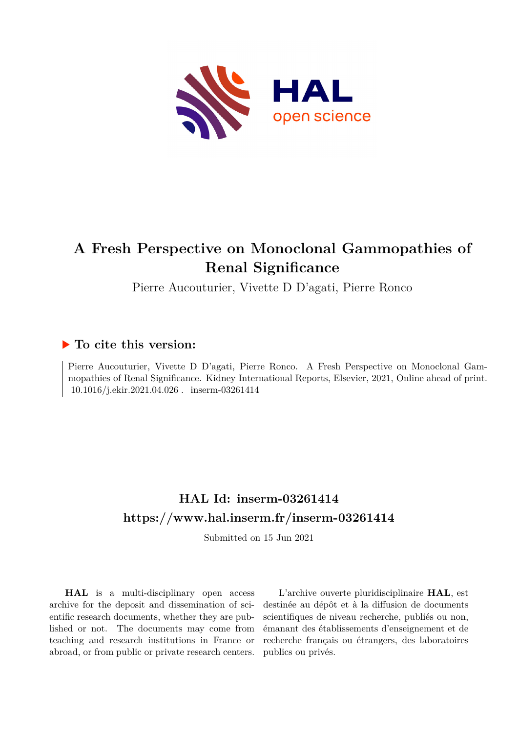

# **A Fresh Perspective on Monoclonal Gammopathies of Renal Significance**

Pierre Aucouturier, Vivette D D'agati, Pierre Ronco

## **To cite this version:**

Pierre Aucouturier, Vivette D D'agati, Pierre Ronco. A Fresh Perspective on Monoclonal Gammopathies of Renal Significance. Kidney International Reports, Elsevier, 2021, Online ahead of print. 10.1016/j.ekir.2021.04.026. inserm-03261414

## **HAL Id: inserm-03261414 <https://www.hal.inserm.fr/inserm-03261414>**

Submitted on 15 Jun 2021

**HAL** is a multi-disciplinary open access archive for the deposit and dissemination of scientific research documents, whether they are published or not. The documents may come from teaching and research institutions in France or abroad, or from public or private research centers.

L'archive ouverte pluridisciplinaire **HAL**, est destinée au dépôt et à la diffusion de documents scientifiques de niveau recherche, publiés ou non, émanant des établissements d'enseignement et de recherche français ou étrangers, des laboratoires publics ou privés.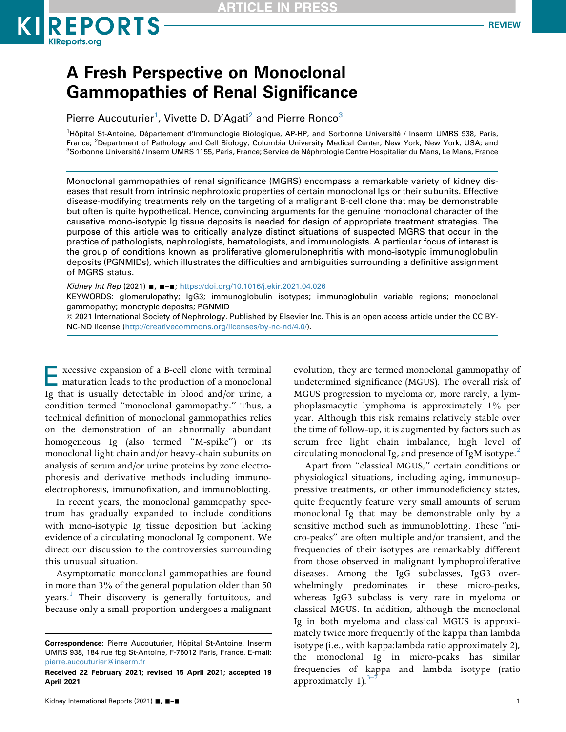ARTICLE IN PRE!



# A Fresh Perspective on Monoclonal Gammopathies of Renal Significance

Pierre Aucouturier<sup>1</sup>, Vivette D. D'Agati<sup>2</sup> and Pierre Ronco<sup>3</sup>

<sup>1</sup>Hôpital St-Antoine, Département d'Immunologie Biologique, AP-HP, and Sorbonne Université / Inserm UMRS 938, Paris, France; <sup>2</sup>Department of Pathology and Cell Biology, Columbia University Medical Center, New York, New York, USA; and<br><sup>3</sup>Sorbonne Université (Inserm UMBS 1155, Paris France: Service de Néphrologie Centre Hospitalier du Man <sup>3</sup>Sorbonne Université / Inserm UMRS 1155, Paris, France; Service de Néphrologie Centre Hospitalier du Mans, Le Mans, France

Monoclonal gammopathies of renal significance (MGRS) encompass a remarkable variety of kidney diseases that result from intrinsic nephrotoxic properties of certain monoclonal Igs or their subunits. Effective disease-modifying treatments rely on the targeting of a malignant B-cell clone that may be demonstrable but often is quite hypothetical. Hence, convincing arguments for the genuine monoclonal character of the causative mono-isotypic Ig tissue deposits is needed for design of appropriate treatment strategies. The purpose of this article was to critically analyze distinct situations of suspected MGRS that occur in the practice of pathologists, nephrologists, hematologists, and immunologists. A particular focus of interest is the group of conditions known as proliferative glomerulonephritis with mono-isotypic immunoglobulin deposits (PGNMIDs), which illustrates the difficulties and ambiguities surrounding a definitive assignment of MGRS status.

Kidney Int Rep (2021) ■, ■-■; <https://doi.org/10.1016/j.ekir.2021.04.026>

KEYWORDS: glomerulopathy; IgG3; immunoglobulin isotypes; immunoglobulin variable regions; monoclonal gammopathy; monotypic deposits; PGNMID

ª 2021 International Society of Nephrology. Published by Elsevier Inc. This is an open access article under the CC BY-NC-ND license [\(http://creativecommons.org/licenses/by-nc-nd/4.0/](http://creativecommons.org/licenses/by-nc-nd/4.0/)).

Excessive expansion of a B-cell clone with terminal maturation leads to the production of a monoclonal Ig that is usually detectable in blood and/or urine, a condition termed "monoclonal gammopathy." Thus, a technical definition of monoclonal gammopathies relies on the demonstration of an abnormally abundant homogeneous Ig (also termed "M-spike") or its monoclonal light chain and/or heavy-chain subunits on analysis of serum and/or urine proteins by zone electrophoresis and derivative methods including immunoelectrophoresis, immunofixation, and immunoblotting.

In recent years, the monoclonal gammopathy spectrum has gradually expanded to include conditions with mono-isotypic Ig tissue deposition but lacking evidence of a circulating monoclonal Ig component. We direct our discussion to the controversies surrounding this unusual situation.

Asymptomatic monoclonal gammopathies are found in more than 3% of the general population older than 50 years.<sup>1</sup> Their discovery is generally fortuitous, and because only a small proportion undergoes a malignant evolution, they are termed monoclonal gammopathy of undetermined significance (MGUS). The overall risk of MGUS progression to myeloma or, more rarely, a lymphoplasmacytic lymphoma is approximately 1% per year. Although this risk remains relatively stable over the time of follow-up, it is augmented by factors such as serum free light chain imbalance, high level of circulating monoclonal Ig, and presence of IgM isotype.<sup>2</sup>

Apart from "classical MGUS," certain conditions or physiological situations, including aging, immunosuppressive treatments, or other immunodeficiency states, quite frequently feature very small amounts of serum monoclonal Ig that may be demonstrable only by a sensitive method such as immunoblotting. These "micro-peaks" are often multiple and/or transient, and the frequencies of their isotypes are remarkably different from those observed in malignant lymphoproliferative diseases. Among the IgG subclasses, IgG3 overwhelmingly predominates in these micro-peaks, whereas IgG3 subclass is very rare in myeloma or classical MGUS. In addition, although the monoclonal Ig in both myeloma and classical MGUS is approximately twice more frequently of the kappa than lambda isotype (i.e., with kappa:lambda ratio approximately 2), the monoclonal Ig in micro-peaks has similar frequencies of kappa and lambda isotype (ratio approximately  $1$ ).<sup>3–</sup>

Correspondence: Pierre Aucouturier, Hôpital St-Antoine, Inserm UMRS 938, 184 rue fbg St-Antoine, F-75012 Paris, France. E-mail: [pierre.aucouturier@inserm.fr](mailto:pierre.aucouturier@inserm.fr)

Received 22 February 2021; revised 15 April 2021; accepted 19 April 2021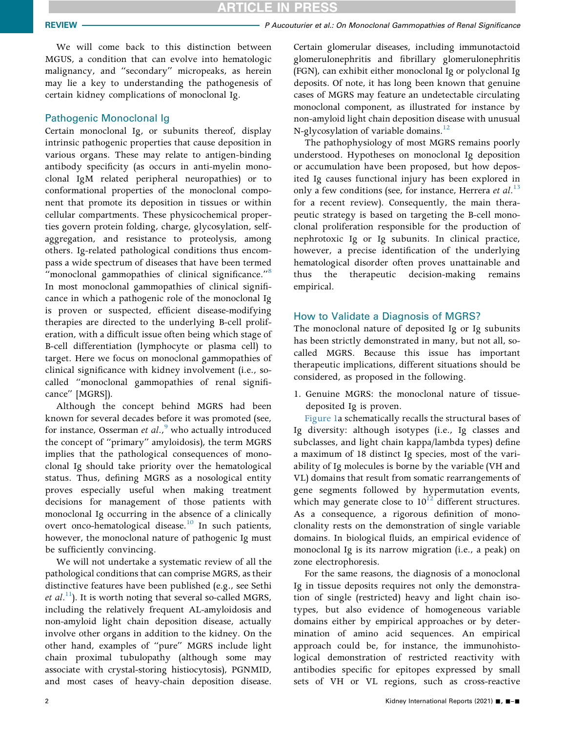### **ARTICLE IN PRESS**

REVIEW **PERSON CONSUMIST CONSUMING CONSUMING PROPERTY P Aucouturier et al.: On Monoclonal Gammopathies of Renal Significance** 

We will come back to this distinction between MGUS, a condition that can evolve into hematologic malignancy, and "secondary" micropeaks, as herein may lie a key to understanding the pathogenesis of certain kidney complications of monoclonal Ig.

#### Pathogenic Monoclonal Ig

Certain monoclonal Ig, or subunits thereof, display intrinsic pathogenic properties that cause deposition in various organs. These may relate to antigen-binding antibody specificity (as occurs in anti-myelin monoclonal IgM related peripheral neuropathies) or to conformational properties of the monoclonal component that promote its deposition in tissues or within cellular compartments. These physicochemical properties govern protein folding, charge, glycosylation, selfaggregation, and resistance to proteolysis, among others. Ig-related pathological conditions thus encompass a wide spectrum of diseases that have been termed "monoclonal gammopathies of clinical significance."<sup>8</sup> In most monoclonal gammopathies of clinical significance in which a pathogenic role of the monoclonal Ig is proven or suspected, efficient disease-modifying therapies are directed to the underlying B-cell proliferation, with a difficult issue often being which stage of B-cell differentiation (lymphocyte or plasma cell) to target. Here we focus on monoclonal gammopathies of clinical significance with kidney involvement (i.e., socalled "monoclonal gammopathies of renal significance" [MGRS]).

Although the concept behind MGRS had been known for several decades before it was promoted (see, for instance, Osserman et al., who actually introduced the concept of "primary" amyloidosis), the term MGRS implies that the pathological consequences of monoclonal Ig should take priority over the hematological status. Thus, defining MGRS as a nosological entity proves especially useful when making treatment decisions for management of those patients with monoclonal Ig occurring in the absence of a clinically overt onco-hematological disease.<sup>10</sup> In such patients, however, the monoclonal nature of pathogenic Ig must be sufficiently convincing.

We will not undertake a systematic review of all the pathological conditions that can comprise MGRS, as their distinctive features have been published (e.g., see Sethi *et al.*<sup>11</sup>). It is worth noting that several so-called MGRS, including the relatively frequent AL-amyloidosis and non-amyloid light chain deposition disease, actually involve other organs in addition to the kidney. On the other hand, examples of "pure" MGRS include light chain proximal tubulopathy (although some may associate with crystal-storing histiocytosis), PGNMID, and most cases of heavy-chain deposition disease.

Certain glomerular diseases, including immunotactoid glomerulonephritis and fibrillary glomerulonephritis (FGN), can exhibit either monoclonal Ig or polyclonal Ig deposits. Of note, it has long been known that genuine cases of MGRS may feature an undetectable circulating monoclonal component, as illustrated for instance by non-amyloid light chain deposition disease with unusual N-glycosylation of variable domains.<sup>12</sup>

The pathophysiology of most MGRS remains poorly understood. Hypotheses on monoclonal Ig deposition or accumulation have been proposed, but how deposited Ig causes functional injury has been explored in only a few conditions (see, for instance, Herrera et  $al.^{13}$ for a recent review). Consequently, the main therapeutic strategy is based on targeting the B-cell monoclonal proliferation responsible for the production of nephrotoxic Ig or Ig subunits. In clinical practice, however, a precise identification of the underlying hematological disorder often proves unattainable and thus the therapeutic decision-making remains empirical.

#### How to Validate a Diagnosis of MGRS?

The monoclonal nature of deposited Ig or Ig subunits has been strictly demonstrated in many, but not all, socalled MGRS. Because this issue has important therapeutic implications, different situations should be considered, as proposed in the following.

1. Genuine MGRS: the monoclonal nature of tissuedeposited Ig is proven.

Figure 1a schematically recalls the structural bases of Ig diversity: although isotypes (i.e., Ig classes and subclasses, and light chain kappa/lambda types) define a maximum of 18 distinct Ig species, most of the variability of Ig molecules is borne by the variable (VH and VL) domains that result from somatic rearrangements of gene segments followed by hypermutation events, which may generate close to  $10^{12}$  different structures. As a consequence, a rigorous definition of monoclonality rests on the demonstration of single variable domains. In biological fluids, an empirical evidence of monoclonal Ig is its narrow migration (i.e., a peak) on zone electrophoresis.

For the same reasons, the diagnosis of a monoclonal Ig in tissue deposits requires not only the demonstration of single (restricted) heavy and light chain isotypes, but also evidence of homogeneous variable domains either by empirical approaches or by determination of amino acid sequences. An empirical approach could be, for instance, the immunohistological demonstration of restricted reactivity with antibodies specific for epitopes expressed by small sets of VH or VL regions, such as cross-reactive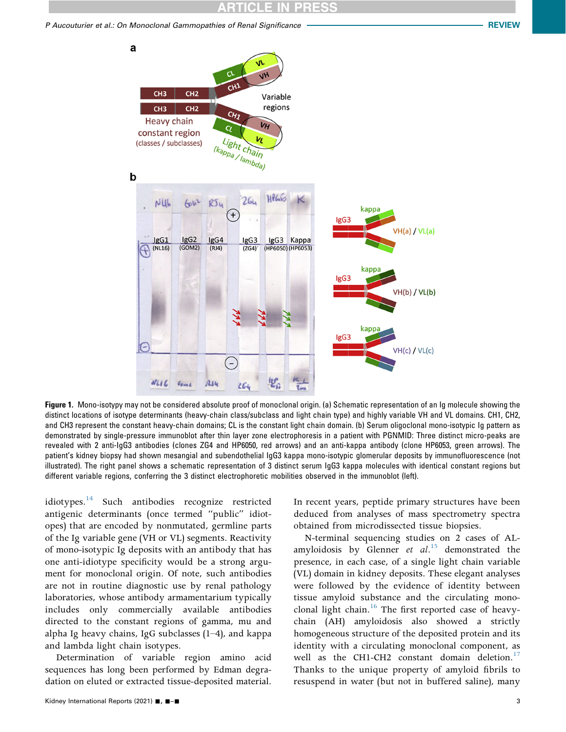#### CLE IN

P Aucouturier et al.: On Monoclonal Gammopathies of Renal Significance **REVIEW REVIEW** 



Figure 1. Mono-isotypy may not be considered absolute proof of monoclonal origin. (a) Schematic representation of an Ig molecule showing the distinct locations of isotype determinants (heavy-chain class/subclass and light chain type) and highly variable VH and VL domains. CH1, CH2, and CH3 represent the constant heavy-chain domains; CL is the constant light chain domain. (b) Serum oligoclonal mono-isotypic Ig pattern as demonstrated by single-pressure immunoblot after thin layer zone electrophoresis in a patient with PGNMID: Three distinct micro-peaks are revealed with 2 anti-IgG3 antibodies (clones ZG4 and HP6050, red arrows) and an anti-kappa antibody (clone HP6053, green arrows). The patient's kidney biopsy had shown mesangial and subendothelial IgG3 kappa mono-isotypic glomerular deposits by immunofluorescence (not illustrated). The right panel shows a schematic representation of 3 distinct serum IgG3 kappa molecules with identical constant regions but different variable regions, conferring the 3 distinct electrophoretic mobilities observed in the immunoblot (left).

idiotypes.<sup>14</sup> Such antibodies recognize restricted antigenic determinants (once termed "public" idiotopes) that are encoded by nonmutated, germline parts of the Ig variable gene (VH or VL) segments. Reactivity of mono-isotypic Ig deposits with an antibody that has one anti-idiotype specificity would be a strong argument for monoclonal origin. Of note, such antibodies are not in routine diagnostic use by renal pathology laboratories, whose antibody armamentarium typically includes only commercially available antibodies directed to the constant regions of gamma, mu and alpha Ig heavy chains, IgG subclasses  $(1-4)$ , and kappa and lambda light chain isotypes.

Determination of variable region amino acid sequences has long been performed by Edman degradation on eluted or extracted tissue-deposited material. In recent years, peptide primary structures have been deduced from analyses of mass spectrometry spectra obtained from microdissected tissue biopsies.

N-terminal sequencing studies on 2 cases of ALamyloidosis by Glenner *et al.*<sup>15</sup> demonstrated the presence, in each case, of a single light chain variable (VL) domain in kidney deposits. These elegant analyses were followed by the evidence of identity between tissue amyloid substance and the circulating monoclonal light chain.<sup>16</sup> The first reported case of heavychain (AH) amyloidosis also showed a strictly homogeneous structure of the deposited protein and its identity with a circulating monoclonal component, as well as the CH1-CH2 constant domain deletion.<sup>17</sup> Thanks to the unique property of amyloid fibrils to resuspend in water (but not in buffered saline), many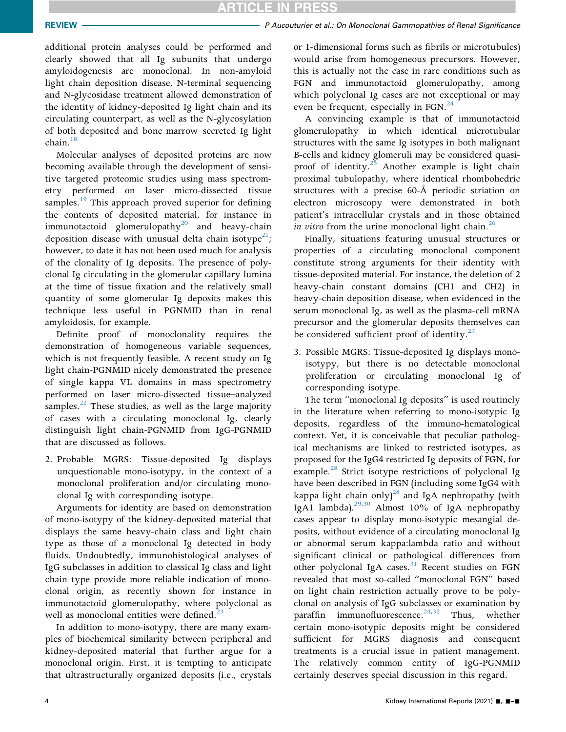**ARTICLE IN PRESS** 

additional protein analyses could be performed and clearly showed that all Ig subunits that undergo amyloidogenesis are monoclonal. In non-amyloid light chain deposition disease, N-terminal sequencing and N-glycosidase treatment allowed demonstration of the identity of kidney-deposited Ig light chain and its circulating counterpart, as well as the N-glycosylation of both deposited and bone marrow–secreted Ig light chain. $18$ 

Molecular analyses of deposited proteins are now becoming available through the development of sensitive targeted proteomic studies using mass spectrometry performed on laser micro-dissected tissue samples.<sup>19</sup> This approach proved superior for defining the contents of deposited material, for instance in immunotactoid glomerulopathy<sup>20</sup> and heavy-chain deposition disease with unusual delta chain isotype<sup>21</sup>; however, to date it has not been used much for analysis of the clonality of Ig deposits. The presence of polyclonal Ig circulating in the glomerular capillary lumina at the time of tissue fixation and the relatively small quantity of some glomerular Ig deposits makes this technique less useful in PGNMID than in renal amyloidosis, for example.

Definite proof of monoclonality requires the demonstration of homogeneous variable sequences, which is not frequently feasible. A recent study on Ig light chain-PGNMID nicely demonstrated the presence of single kappa VL domains in mass spectrometry performed on laser micro-dissected tissue–analyzed samples. $^{22}$  These studies, as well as the large majority of cases with a circulating monoclonal Ig, clearly distinguish light chain-PGNMID from IgG-PGNMID that are discussed as follows.

2. Probable MGRS: Tissue-deposited Ig displays unquestionable mono-isotypy, in the context of a monoclonal proliferation and/or circulating monoclonal Ig with corresponding isotype.

Arguments for identity are based on demonstration of mono-isotypy of the kidney-deposited material that displays the same heavy-chain class and light chain type as those of a monoclonal Ig detected in body fluids. Undoubtedly, immunohistological analyses of IgG subclasses in addition to classical Ig class and light chain type provide more reliable indication of monoclonal origin, as recently shown for instance in immunotactoid glomerulopathy, where polyclonal as well as monoclonal entities were defined.<sup>2</sup>

In addition to mono-isotypy, there are many examples of biochemical similarity between peripheral and kidney-deposited material that further argue for a monoclonal origin. First, it is tempting to anticipate that ultrastructurally organized deposits (i.e., crystals

or 1-dimensional forms such as fibrils or microtubules) would arise from homogeneous precursors. However, this is actually not the case in rare conditions such as FGN and immunotactoid glomerulopathy, among which polyclonal Ig cases are not exceptional or may even be frequent, especially in FGN. $^{24}$ 

A convincing example is that of immunotactoid glomerulopathy in which identical microtubular structures with the same Ig isotypes in both malignant B-cells and kidney glomeruli may be considered quasiproof of identity. $25$  Another example is light chain proximal tubulopathy, where identical rhombohedric structures with a precise 60-Å periodic striation on electron microscopy were demonstrated in both patient's intracellular crystals and in those obtained in vitro from the urine monoclonal light chain.<sup>26</sup>

Finally, situations featuring unusual structures or properties of a circulating monoclonal component constitute strong arguments for their identity with tissue-deposited material. For instance, the deletion of 2 heavy-chain constant domains (CH1 and CH2) in heavy-chain deposition disease, when evidenced in the serum monoclonal Ig, as well as the plasma-cell mRNA precursor and the glomerular deposits themselves can be considered sufficient proof of identity. $27$ 

3. Possible MGRS: Tissue-deposited Ig displays monoisotypy, but there is no detectable monoclonal proliferation or circulating monoclonal Ig of corresponding isotype.

The term "monoclonal Ig deposits" is used routinely in the literature when referring to mono-isotypic Ig deposits, regardless of the immuno-hematological context. Yet, it is conceivable that peculiar pathological mechanisms are linked to restricted isotypes, as proposed for the IgG4 restricted Ig deposits of FGN, for example.<sup>28</sup> Strict isotype restrictions of polyclonal Ig have been described in FGN (including some IgG4 with kappa light chain only)<sup>28</sup> and IgA nephropathy (with IgA1 lambda).<sup>29,30</sup> Almost 10% of IgA nephropathy cases appear to display mono-isotypic mesangial deposits, without evidence of a circulating monoclonal Ig or abnormal serum kappa:lambda ratio and without significant clinical or pathological differences from other polyclonal IgA cases. $31$  Recent studies on FGN revealed that most so-called "monoclonal FGN" based on light chain restriction actually prove to be polyclonal on analysis of IgG subclasses or examination by paraffin immunofluorescence.<sup>24,32</sup> Thus, whether certain mono-isotypic deposits might be considered sufficient for MGRS diagnosis and consequent treatments is a crucial issue in patient management. The relatively common entity of IgG-PGNMID certainly deserves special discussion in this regard.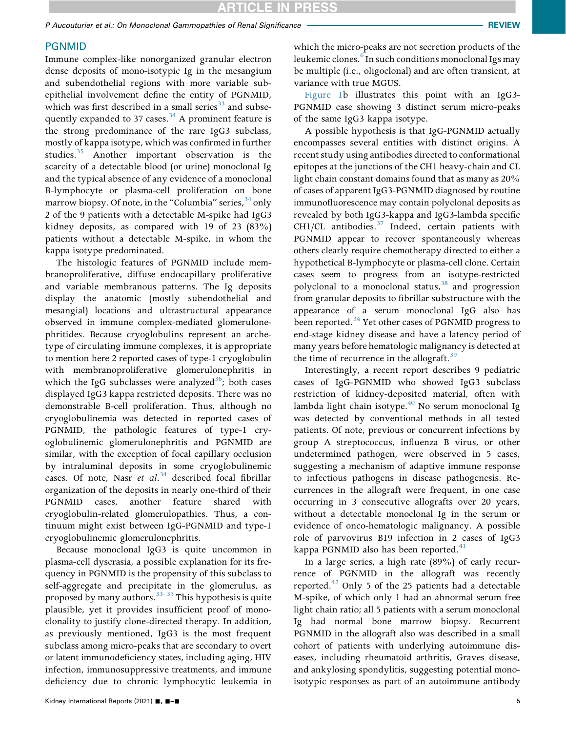#### PGNMID

Immune complex-like nonorganized granular electron dense deposits of mono-isotypic Ig in the mesangium and subendothelial regions with more variable subepithelial involvement define the entity of PGNMID, which was first described in a small series $33$  and subsequently expanded to 37 cases. $34$  A prominent feature is the strong predominance of the rare IgG3 subclass, mostly of kappa isotype, which was confirmed in further studies.<sup>35</sup> Another important observation is the scarcity of a detectable blood (or urine) monoclonal Ig and the typical absence of any evidence of a monoclonal B-lymphocyte or plasma-cell proliferation on bone marrow biopsy. Of note, in the "Columbia" series,  $34$  only 2 of the 9 patients with a detectable M-spike had IgG3 kidney deposits, as compared with 19 of 23 (83%) patients without a detectable M-spike, in whom the kappa isotype predominated.

The histologic features of PGNMID include membranoproliferative, diffuse endocapillary proliferative and variable membranous patterns. The Ig deposits display the anatomic (mostly subendothelial and mesangial) locations and ultrastructural appearance observed in immune complex-mediated glomerulonephritides. Because cryoglobulins represent an archetype of circulating immune complexes, it is appropriate to mention here 2 reported cases of type-1 cryoglobulin with membranoproliferative glomerulonephritis in which the IgG subclasses were analyzed<sup>36</sup>; both cases displayed IgG3 kappa restricted deposits. There was no demonstrable B-cell proliferation. Thus, although no cryoglobulinemia was detected in reported cases of PGNMID, the pathologic features of type-1 cryoglobulinemic glomerulonephritis and PGNMID are similar, with the exception of focal capillary occlusion by intraluminal deposits in some cryoglobulinemic cases. Of note, Nasr et  $al.^{34}$  described focal fibrillar organization of the deposits in nearly one-third of their PGNMID cases, another feature shared with cryoglobulin-related glomerulopathies. Thus, a continuum might exist between IgG-PGNMID and type-1 cryoglobulinemic glomerulonephritis.

Because monoclonal IgG3 is quite uncommon in plasma-cell dyscrasia, a possible explanation for its frequency in PGNMID is the propensity of this subclass to self-aggregate and precipitate in the glomerulus, as proposed by many authors.<sup>33–35</sup> This hypothesis is quite plausible, yet it provides insufficient proof of monoclonality to justify clone-directed therapy. In addition, as previously mentioned, IgG3 is the most frequent subclass among micro-peaks that are secondary to overt or latent immunodeficiency states, including aging, HIV infection, immunosuppressive treatments, and immune deficiency due to chronic lymphocytic leukemia in

which the micro-peaks are not secretion products of the leukemic clones.<sup>6</sup> In such conditions monoclonal Igs may be multiple (i.e., oligoclonal) and are often transient, at variance with true MGUS.

Figure 1b illustrates this point with an IgG3- PGNMID case showing 3 distinct serum micro-peaks of the same IgG3 kappa isotype.

A possible hypothesis is that IgG-PGNMID actually encompasses several entities with distinct origins. A recent study using antibodies directed to conformational epitopes at the junctions of the CH1 heavy-chain and CL light chain constant domains found that as many as 20% of cases of apparent IgG3-PGNMID diagnosed by routine immunofluorescence may contain polyclonal deposits as revealed by both IgG3-kappa and IgG3-lambda specific CH1/CL antibodies. $37$  Indeed, certain patients with PGNMID appear to recover spontaneously whereas others clearly require chemotherapy directed to either a hypothetical B-lymphocyte or plasma-cell clone. Certain cases seem to progress from an isotype-restricted polyclonal to a monoclonal status, $38$  and progression from granular deposits to fibrillar substructure with the appearance of a serum monoclonal IgG also has been reported.<sup>34</sup> Yet other cases of PGNMID progress to end-stage kidney disease and have a latency period of many years before hematologic malignancy is detected at the time of recurrence in the allograft.<sup>39</sup>

Interestingly, a recent report describes 9 pediatric cases of IgG-PGNMID who showed IgG3 subclass restriction of kidney-deposited material, often with lambda light chain isotype. $40$  No serum monoclonal Ig was detected by conventional methods in all tested patients. Of note, previous or concurrent infections by group A streptococcus, influenza B virus, or other undetermined pathogen, were observed in 5 cases, suggesting a mechanism of adaptive immune response to infectious pathogens in disease pathogenesis. Recurrences in the allograft were frequent, in one case occurring in 3 consecutive allografts over 20 years, without a detectable monoclonal Ig in the serum or evidence of onco-hematologic malignancy. A possible role of parvovirus B19 infection in 2 cases of IgG3 kappa PGNMID also has been reported.<sup>41</sup>

In a large series, a high rate (89%) of early recurrence of PGNMID in the allograft was recently reported. $42$  Only 5 of the 25 patients had a detectable M-spike, of which only 1 had an abnormal serum free light chain ratio; all 5 patients with a serum monoclonal Ig had normal bone marrow biopsy. Recurrent PGNMID in the allograft also was described in a small cohort of patients with underlying autoimmune diseases, including rheumatoid arthritis, Graves disease, and ankylosing spondylitis, suggesting potential monoisotypic responses as part of an autoimmune antibody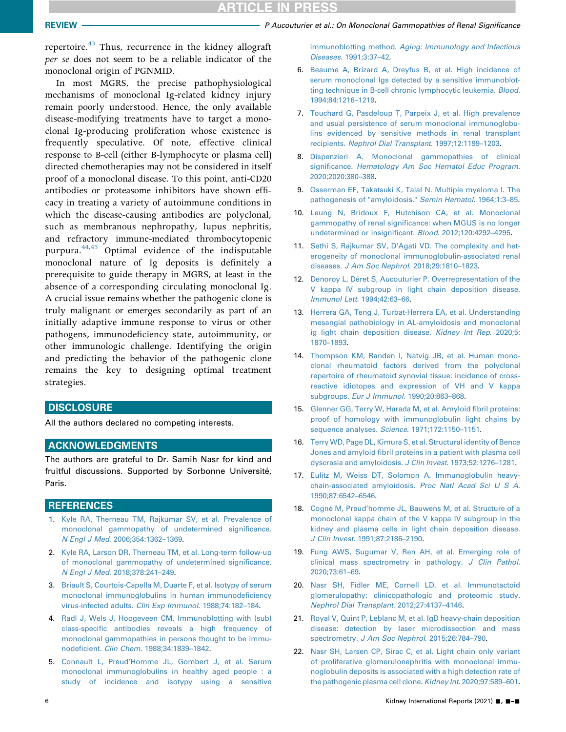repertoire.<sup>43</sup> Thus, recurrence in the kidney allograft per se does not seem to be a reliable indicator of the monoclonal origin of PGNMID.

In most MGRS, the precise pathophysiological mechanisms of monoclonal Ig-related kidney injury remain poorly understood. Hence, the only available disease-modifying treatments have to target a monoclonal Ig-producing proliferation whose existence is frequently speculative. Of note, effective clinical response to B-cell (either B-lymphocyte or plasma cell) directed chemotherapies may not be considered in itself proof of a monoclonal disease. To this point, anti-CD20 antibodies or proteasome inhibitors have shown efficacy in treating a variety of autoimmune conditions in which the disease-causing antibodies are polyclonal, such as membranous nephropathy, lupus nephritis, and refractory immune-mediated thrombocytopenic purpura. $44,45$  Optimal evidence of the indisputable monoclonal nature of Ig deposits is definitely a prerequisite to guide therapy in MGRS, at least in the absence of a corresponding circulating monoclonal Ig. A crucial issue remains whether the pathogenic clone is truly malignant or emerges secondarily as part of an initially adaptive immune response to virus or other pathogens, immunodeficiency state, autoimmunity, or other immunologic challenge. Identifying the origin and predicting the behavior of the pathogenic clone remains the key to designing optimal treatment strategies.

#### **DISCLOSURE**

All the authors declared no competing interests.

#### ACKNOWLEDGMENTS

The authors are grateful to Dr. Samih Nasr for kind and fruitful discussions. Supported by Sorbonne Université, Paris.

#### **REFERENCES**

- 1. [Kyle RA, Therneau TM, Rajkumar SV, et al. Prevalence of](http://refhub.elsevier.com/S2468-0249(21)01139-6/sref1) [monoclonal gammopathy of undetermined signi](http://refhub.elsevier.com/S2468-0249(21)01139-6/sref1)ficance. N Engl J Med[. 2006;354:1362](http://refhub.elsevier.com/S2468-0249(21)01139-6/sref1)–1369.
- 2. [Kyle RA, Larson DR, Therneau TM, et al. Long-term follow-up](http://refhub.elsevier.com/S2468-0249(21)01139-6/sref2) [of monoclonal gammopathy of undetermined signi](http://refhub.elsevier.com/S2468-0249(21)01139-6/sref2)ficance. N Engl J Med[. 2018;378:241](http://refhub.elsevier.com/S2468-0249(21)01139-6/sref2)–249.
- 3. [Briault S, Courtois-Capella M, Duarte F, et al. Isotypy of serum](http://refhub.elsevier.com/S2468-0249(21)01139-6/sref3) [monoclonal immunoglobulins in human immunode](http://refhub.elsevier.com/S2468-0249(21)01139-6/sref3)ficiency [virus-infected adults.](http://refhub.elsevier.com/S2468-0249(21)01139-6/sref3) Clin Exp Immunol. 1988;74:182–184.
- 4. [Radl J, Wels J, Hoogeveen CM. Immunoblotting with \(sub\)](http://refhub.elsevier.com/S2468-0249(21)01139-6/sref4) class-specifi[c antibodies reveals a high frequency of](http://refhub.elsevier.com/S2468-0249(21)01139-6/sref4) [monoclonal gammopathies in persons thought to be immu](http://refhub.elsevier.com/S2468-0249(21)01139-6/sref4)nodeficient. Clin Chem[. 1988;34:1839](http://refhub.elsevier.com/S2468-0249(21)01139-6/sref4)–1842.
- 5. Connault L, Preud'[Homme JL, Gombert J, et al. Serum](http://refhub.elsevier.com/S2468-0249(21)01139-6/sref5) [monoclonal immunoglobulins in healthy aged people : a](http://refhub.elsevier.com/S2468-0249(21)01139-6/sref5) [study of incidence and isotypy using a sensitive](http://refhub.elsevier.com/S2468-0249(21)01139-6/sref5)

REVIEW **PERSON CONSUMIST CONSUMING THE AUTOMOTIVE PROPERTY CONSUMING** PAULO AT A MONOCLONAL GAMMOPATHIES Of Renal Significance

immunoblotting method. [Aging: Immunology and Infectious](http://refhub.elsevier.com/S2468-0249(21)01139-6/sref5) Diseases[. 1991;3:37](http://refhub.elsevier.com/S2468-0249(21)01139-6/sref5)–42.

- 6. [Beaume A, Brizard A, Dreyfus B, et al. High incidence of](http://refhub.elsevier.com/S2468-0249(21)01139-6/sref6) [serum monoclonal Igs detected by a sensitive immunoblot](http://refhub.elsevier.com/S2468-0249(21)01139-6/sref6)[ting technique in B-cell chronic lymphocytic leukemia.](http://refhub.elsevier.com/S2468-0249(21)01139-6/sref6) Blood. [1994;84:1216](http://refhub.elsevier.com/S2468-0249(21)01139-6/sref6)–1219.
- 7. [Touchard G, Pasdeloup T, Parpeix J, et al. High prevalence](http://refhub.elsevier.com/S2468-0249(21)01139-6/sref7) [and usual persistence of serum monoclonal immunoglobu](http://refhub.elsevier.com/S2468-0249(21)01139-6/sref7)[lins evidenced by sensitive methods in renal transplant](http://refhub.elsevier.com/S2468-0249(21)01139-6/sref7) recipients. [Nephrol Dial Transplant](http://refhub.elsevier.com/S2468-0249(21)01139-6/sref7). 1997;12:1199–1203.
- 8. [Dispenzieri A. Monoclonal gammopathies of clinical](http://refhub.elsevier.com/S2468-0249(21)01139-6/sref8) significance. [Hematology Am Soc Hematol Educ Program](http://refhub.elsevier.com/S2468-0249(21)01139-6/sref8). [2020;2020:380](http://refhub.elsevier.com/S2468-0249(21)01139-6/sref8)–388.
- 9. [Osserman EF, Takatsuki K, Talal N. Multiple myeloma I. The](http://refhub.elsevier.com/S2468-0249(21)01139-6/sref9) [pathogenesis of "amyloidosis."](http://refhub.elsevier.com/S2468-0249(21)01139-6/sref9) Semin Hematol. 1964;1:3–85.
- 10. [Leung N, Bridoux F, Hutchison CA, et al. Monoclonal](http://refhub.elsevier.com/S2468-0249(21)01139-6/sref10) gammopathy of renal signifi[cance: when MGUS is no longer](http://refhub.elsevier.com/S2468-0249(21)01139-6/sref10) [undetermined or insigni](http://refhub.elsevier.com/S2468-0249(21)01139-6/sref10)ficant. Blood. 2012;120:4292–4295.
- 11. Sethi S, Rajkumar SV, D'[Agati VD. The complexity and het](http://refhub.elsevier.com/S2468-0249(21)01139-6/sref11)[erogeneity of monoclonal immunoglobulin-associated renal](http://refhub.elsevier.com/S2468-0249(21)01139-6/sref11) diseases. [J Am Soc Nephrol](http://refhub.elsevier.com/S2468-0249(21)01139-6/sref11). 2018;29:1810–1823.
- 12. [Denoroy L, Déret S, Aucouturier P. Overrepresentation of the](http://refhub.elsevier.com/S2468-0249(21)01139-6/sref12) [V kappa IV subgroup in light chain deposition disease.](http://refhub.elsevier.com/S2468-0249(21)01139-6/sref12) [Immunol Lett](http://refhub.elsevier.com/S2468-0249(21)01139-6/sref12). 1994;42:63–66.
- 13. [Herrera GA, Teng J, Turbat-Herrera EA, et al. Understanding](http://refhub.elsevier.com/S2468-0249(21)01139-6/sref13) [mesangial pathobiology in AL-amyloidosis and monoclonal](http://refhub.elsevier.com/S2468-0249(21)01139-6/sref13) [ig light chain deposition disease.](http://refhub.elsevier.com/S2468-0249(21)01139-6/sref13) Kidney Int Rep. 2020;5: [1870](http://refhub.elsevier.com/S2468-0249(21)01139-6/sref13)–1893.
- 14. [Thompson KM, Randen I, Natvig JB, et al. Human mono](http://refhub.elsevier.com/S2468-0249(21)01139-6/sref14)[clonal rheumatoid factors derived from the polyclonal](http://refhub.elsevier.com/S2468-0249(21)01139-6/sref14) [repertoire of rheumatoid synovial tissue: incidence of cross](http://refhub.elsevier.com/S2468-0249(21)01139-6/sref14)[reactive idiotopes and expression of VH and V kappa](http://refhub.elsevier.com/S2468-0249(21)01139-6/sref14) subgroups. [Eur J Immunol](http://refhub.elsevier.com/S2468-0249(21)01139-6/sref14). 1990;20:863–868.
- 15. [Glenner GG, Terry W, Harada M, et al. Amyloid](http://refhub.elsevier.com/S2468-0249(21)01139-6/sref15) fibril proteins: [proof of homology with immunoglobulin light chains by](http://refhub.elsevier.com/S2468-0249(21)01139-6/sref15) [sequence analyses.](http://refhub.elsevier.com/S2468-0249(21)01139-6/sref15) Science. 1971;172:1150–1151.
- 16. [Terry WD, Page DL, Kimura S, et al. Structural identity of Bence](http://refhub.elsevier.com/S2468-0249(21)01139-6/sref16) Jones and amyloid fi[bril proteins in a patient with plasma cell](http://refhub.elsevier.com/S2468-0249(21)01139-6/sref16) [dyscrasia and amyloidosis.](http://refhub.elsevier.com/S2468-0249(21)01139-6/sref16) J Clin Invest. 1973;52:1276–1281.
- 17. [Eulitz M, Weiss DT, Solomon A. Immunoglobulin heavy](http://refhub.elsevier.com/S2468-0249(21)01139-6/sref17)[chain-associated amyloidosis.](http://refhub.elsevier.com/S2468-0249(21)01139-6/sref17) Proc Natl Acad Sci U S A. [1990;87:6542](http://refhub.elsevier.com/S2468-0249(21)01139-6/sref17)–6546.
- 18. Cogné M, Preud'[homme JL, Bauwens M, et al. Structure of a](http://refhub.elsevier.com/S2468-0249(21)01139-6/sref18) [monoclonal kappa chain of the V kappa IV subgroup in the](http://refhub.elsevier.com/S2468-0249(21)01139-6/sref18) [kidney and plasma cells in light chain deposition disease.](http://refhub.elsevier.com/S2468-0249(21)01139-6/sref18) J Clin Invest[. 1991;87:2186](http://refhub.elsevier.com/S2468-0249(21)01139-6/sref18)–2190.
- 19. [Fung AWS, Sugumar V, Ren AH, et al. Emerging role of](http://refhub.elsevier.com/S2468-0249(21)01139-6/sref19) [clinical mass spectrometry in pathology.](http://refhub.elsevier.com/S2468-0249(21)01139-6/sref19) J Clin Pathol. [2020;73:61](http://refhub.elsevier.com/S2468-0249(21)01139-6/sref19)–69.
- 20. [Nasr SH, Fidler ME, Cornell LD, et al. Immunotactoid](http://refhub.elsevier.com/S2468-0249(21)01139-6/sref20) [glomerulopathy: clinicopathologic and proteomic study.](http://refhub.elsevier.com/S2468-0249(21)01139-6/sref20) [Nephrol Dial Transplant](http://refhub.elsevier.com/S2468-0249(21)01139-6/sref20). 2012;27:4137–4146.
- 21. [Royal V, Quint P, Leblanc M, et al. IgD heavy-chain deposition](http://refhub.elsevier.com/S2468-0249(21)01139-6/sref21) [disease: detection by laser microdissection and mass](http://refhub.elsevier.com/S2468-0249(21)01139-6/sref21) spectrometry. [J Am Soc Nephrol](http://refhub.elsevier.com/S2468-0249(21)01139-6/sref21). 2015;26:784–790.
- 22. [Nasr SH, Larsen CP, Sirac C, et al. Light chain only variant](http://refhub.elsevier.com/S2468-0249(21)01139-6/sref22) [of proliferative glomerulonephritis with monoclonal immu](http://refhub.elsevier.com/S2468-0249(21)01139-6/sref22)[noglobulin deposits is associated with a high detection rate of](http://refhub.elsevier.com/S2468-0249(21)01139-6/sref22) [the pathogenic plasma cell clone.](http://refhub.elsevier.com/S2468-0249(21)01139-6/sref22) Kidney Int. 2020;97:589–601.